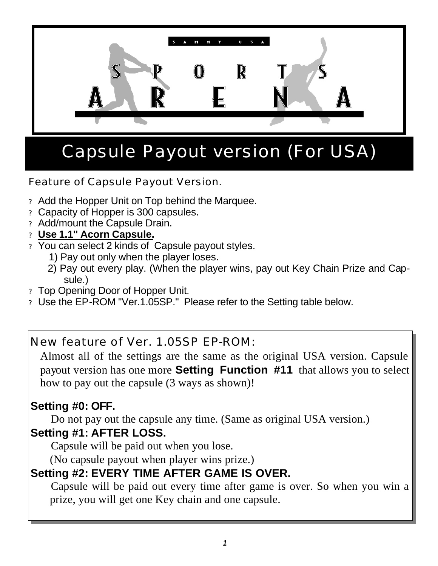

# Capsule Payout version (For USA)

Feature of Capsule Payout Version.

- ? Add the Hopper Unit on Top behind the Marquee.
- ? Capacity of Hopper is 300 capsules.
- ? Add/mount the Capsule Drain.
- ? **Use 1.1" Acorn Capsule.**
- ? You can select 2 kinds of Capsule payout styles.
	- 1) Pay out only when the player loses.
	- 2) Pay out every play. (When the player wins, pay out Key Chain Prize and Capsule.)
- ? Top Opening Door of Hopper Unit.
- ? Use the EP-ROM "Ver.1.05SP." Please refer to the Setting table below.

New feature of Ver. 1.05SP EP-ROM:

 Almost all of the settings are the same as the original USA version. Capsule payout version has one more **Setting Function #11** that allows you to select how to pay out the capsule (3 ways as shown)!

#### **Setting #0: OFF.**

 Do not pay out the capsule any time. (Same as original USA version.) **Setting #1: AFTER LOSS.**

Capsule will be paid out when you lose.

(No capsule payout when player wins prize.)

### **Setting #2: EVERY TIME AFTER GAME IS OVER.**

 Capsule will be paid out every time after game is over. So when you win a prize, you will get one Key chain and one capsule.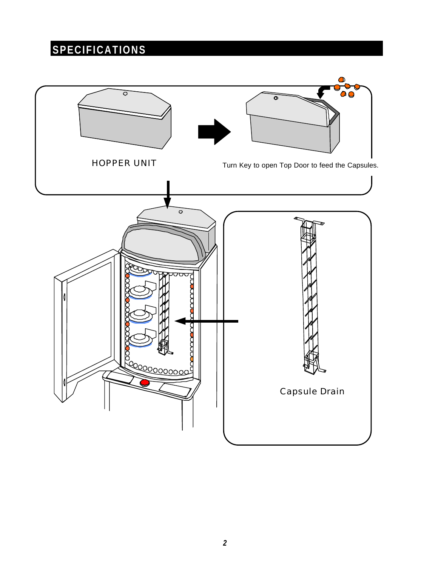# **SPECIFICATIONS**



*2*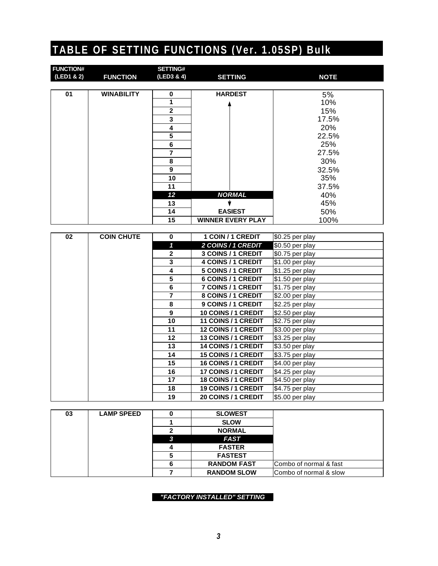### **TABLE OF SETTING FUNCTIONS (Ver. 1.05SP) Bulk**

| <b>FUNCTION#</b> |                   | <b>SETTING#</b> |                          |             |
|------------------|-------------------|-----------------|--------------------------|-------------|
| (LED1 & 2)       | <b>FUNCTION</b>   | (LED3 & 4)      | <b>SETTING</b>           | <b>NOTE</b> |
|                  |                   |                 |                          |             |
| 01               | <b>WINABILITY</b> | 0               | <b>HARDEST</b>           | 5%          |
|                  |                   | 1               |                          | 10%         |
|                  |                   | $\overline{2}$  |                          | 15%         |
|                  |                   | 3               |                          | 17.5%       |
|                  |                   | 4               |                          | 20%         |
|                  |                   | 5               |                          | 22.5%       |
|                  |                   | 6               |                          | 25%         |
|                  |                   | 7               |                          | 27.5%       |
|                  |                   | 8               |                          | 30%         |
|                  |                   | 9               |                          | 32.5%       |
|                  |                   | 10              |                          | 35%         |
|                  |                   | 11              |                          | 37.5%       |
|                  |                   | 12              | <b>NORMAL</b>            | 40%         |
|                  |                   | 13              |                          | 45%         |
|                  |                   | 14              | <b>EASIEST</b>           | 50%         |
|                  |                   | 15              | <b>WINNER EVERY PLAY</b> | 100%        |

| 02 | <b>COIN CHUTE</b> | $\bf{0}$     | 1 COIN / 1 CREDIT          | $$0.25$ per play |
|----|-------------------|--------------|----------------------------|------------------|
|    |                   | 1            | 2 COINS / 1 CREDIT         | \$0.50 per play  |
|    |                   | $\mathbf{2}$ | 3 COINS / 1 CREDIT         | \$0.75 per play  |
|    |                   | 3            | <b>4 COINS / 1 CREDIT</b>  | $$1.00$ per play |
|    |                   | 4            | 5 COINS / 1 CREDIT         | $$1.25$ per play |
|    |                   | 5            | 6 COINS / 1 CREDIT         | $$1.50$ per play |
|    |                   | 6            | <b>7 COINS / 1 CREDIT</b>  | $$1.75$ per play |
|    |                   | 7            | 8 COINS / 1 CREDIT         | \$2.00 per play  |
|    |                   | 8            | 9 COINS / 1 CREDIT         | \$2.25 per play  |
|    |                   | 9            | 10 COINS / 1 CREDIT        | $$2.50$ per play |
|    |                   | 10           | 11 COINS / 1 CREDIT        | $$2.75$ per play |
|    |                   | 11           | <b>12 COINS / 1 CREDIT</b> | \$3.00 per play  |
|    |                   | 12           | <b>13 COINS / 1 CREDIT</b> | \$3.25 per play  |
|    |                   | 13           | <b>14 COINS / 1 CREDIT</b> | \$3.50 per play  |
|    |                   | 14           | <b>15 COINS / 1 CREDIT</b> | \$3.75 per play  |
|    |                   | 15           | <b>16 COINS / 1 CREDIT</b> | $$4.00$ per play |
|    |                   | 16           | <b>17 COINS / 1 CREDIT</b> | $$4.25$ per play |
|    |                   | 17           | 18 COINS / 1 CREDIT        | $$4.50$ per play |
|    |                   | 18           | <b>19 COINS / 1 CREDIT</b> | \$4.75 per play  |
|    |                   | 19           | <b>20 COINS / 1 CREDIT</b> | \$5.00 per play  |

| 03 | <b>LAMP SPEED</b> |   | <b>SLOWEST</b>     |                        |
|----|-------------------|---|--------------------|------------------------|
|    |                   |   | <b>SLOW</b>        |                        |
|    |                   |   | <b>NORMAL</b>      |                        |
|    |                   | C | <b>FAST</b>        |                        |
|    |                   |   | <b>FASTER</b>      |                        |
|    |                   |   | <b>FASTEST</b>     |                        |
|    |                   |   | <b>RANDOM FAST</b> | Combo of normal & fast |
|    |                   |   | <b>RANDOM SLOW</b> | Combo of normal & slow |

*"FACTORY INSTALLED" SETTING*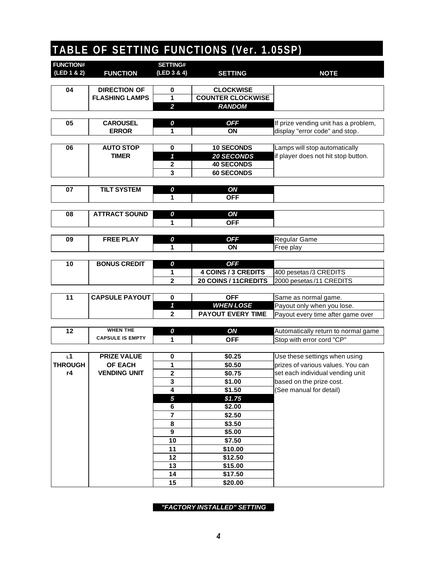# **TABLE OF SETTING FUNCTIONS (Ver. 1.05SP)**

| <b>FUNCTION#</b>     |                                              | <b>SETTING#</b>         |                                              |                                                                    |
|----------------------|----------------------------------------------|-------------------------|----------------------------------------------|--------------------------------------------------------------------|
| (LED 1 & 2)          | <b>FUNCTION</b>                              | (LED 3 & 4)             | <b>SETTING</b>                               | <b>NOTE</b>                                                        |
|                      |                                              |                         |                                              |                                                                    |
| 04                   | <b>DIRECTION OF</b><br><b>FLASHING LAMPS</b> | 0<br>1                  | <b>CLOCKWISE</b><br><b>COUNTER CLOCKWISE</b> |                                                                    |
|                      |                                              | $\overline{2}$          | <b>RANDOM</b>                                |                                                                    |
|                      |                                              |                         |                                              |                                                                    |
| 05                   | <b>CAROUSEL</b>                              | 0                       | <b>OFF</b>                                   | If prize vending unit has a problem,                               |
|                      | <b>ERROR</b>                                 | 1                       | ON                                           | display "error code" and stop.                                     |
|                      |                                              |                         |                                              |                                                                    |
| 06                   | <b>AUTO STOP</b><br><b>TIMER</b>             | 0                       | <b>10 SECONDS</b>                            | Lamps will stop automatically                                      |
|                      |                                              | 1                       | <b>20 SECONDS</b>                            | if player does not hit stop button.                                |
|                      |                                              | $\mathbf 2$             | <b>40 SECONDS</b>                            |                                                                    |
|                      |                                              | 3                       | <b>60 SECONDS</b>                            |                                                                    |
| 07                   | <b>TILT SYSTEM</b>                           | 0                       | ON                                           |                                                                    |
|                      |                                              | 1                       | <b>OFF</b>                                   |                                                                    |
|                      |                                              |                         |                                              |                                                                    |
| 08                   | <b>ATTRACT SOUND</b>                         | 0                       | ON                                           |                                                                    |
|                      |                                              | 1                       | <b>OFF</b>                                   |                                                                    |
|                      |                                              |                         |                                              |                                                                    |
| 09                   | <b>FREE PLAY</b>                             | 0                       | <b>OFF</b>                                   | Regular Game                                                       |
|                      |                                              | 1                       | ON                                           | Free play                                                          |
|                      |                                              |                         |                                              |                                                                    |
| 10                   | <b>BONUS CREDIT</b>                          | 0<br>1                  | <b>OFF</b><br><b>4 COINS / 3 CREDITS</b>     | 400 pesetas/3 CREDITS                                              |
|                      |                                              | $\overline{2}$          | 20 COINS / 11 CREDITS                        | 2000 pesetas/11 CREDITS                                            |
|                      |                                              |                         |                                              |                                                                    |
| 11                   | <b>CAPSULE PAYOUT</b>                        | 0                       | <b>OFF</b>                                   | Same as normal game.                                               |
|                      |                                              | 1                       | <b>WHEN LOSE</b>                             | Payout only when you lose.                                         |
|                      |                                              | $\overline{2}$          | <b>PAYOUT EVERY TIME</b>                     | Payout every time after game over                                  |
|                      |                                              |                         |                                              |                                                                    |
| 12                   | <b>WHEN THE</b>                              | 0                       | ON                                           | Automatically return to normal game                                |
|                      | <b>CAPSULE IS EMPTY</b>                      | 1                       | <b>OFF</b>                                   | Stop with error cord "CP"                                          |
|                      |                                              |                         |                                              |                                                                    |
| L1<br><b>THROUGH</b> | <b>PRIZE VALUE</b><br><b>OF EACH</b>         | 0<br>1                  | \$0.25<br>\$0.50                             | Use these settings when using<br>prizes of various values. You can |
| r4                   | <b>VENDING UNIT</b>                          | $\mathbf{2}$            | \$0.75                                       | set each individual vending unit                                   |
|                      |                                              | 3                       | \$1.00                                       | based on the prize cost.                                           |
|                      |                                              | 4                       | \$1.50                                       | (See manual for detail)                                            |
|                      |                                              | $\overline{\mathbf{5}}$ | \$1.75                                       |                                                                    |
|                      |                                              | 6                       | \$2.00                                       |                                                                    |
|                      |                                              | $\overline{\mathbf{r}}$ | \$2.50                                       |                                                                    |
|                      |                                              | 8                       | \$3.50                                       |                                                                    |
|                      |                                              | 9                       | \$5.00                                       |                                                                    |
|                      |                                              | 10                      | \$7.50                                       |                                                                    |
|                      |                                              | 11                      | \$10.00                                      |                                                                    |
|                      |                                              | 12                      | \$12.50                                      |                                                                    |
|                      |                                              | 13                      | \$15.00                                      |                                                                    |
|                      |                                              | 14                      | \$17.50                                      |                                                                    |
|                      |                                              | 15                      | \$20.00                                      |                                                                    |

*"FACTORY INSTALLED" SETTING*